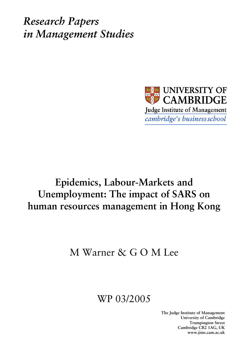*Research Papers in Management Studies*



# **Epidemics, Labour-Markets and Unemployment: The impact of SARS on human resources management in Hong Kong**

# M Warner & G O M Lee

# WP 03/2005

**The Judge Institute of Management University of Cambridge Trumpington Street Cambridge CB2 1AG, UK www.jims.cam.ac.uk**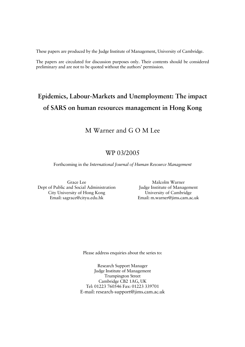These papers are produced by the Judge Institute of Management, University of Cambridge.

The papers are circulated for discussion purposes only. Their contents should be considered preliminary and are not to be quoted without the authors' permission.

# **Epidemics, Labour-Markets and Unemployment: The impact of SARS on human resources management in Hong Kong**

### M Warner and G O M Lee

### WP 03/2005

Forthcoming in the *International Journal of Human Resource Management* 

Grace Lee Dept of Public and Social Administration City University of Hong Kong Email: sagrace@cityu.edu.hk

Malcolm Warner Judge Institute of Management University of Cambridge Email: m.warner@jims.cam.ac.uk

Please address enquiries about the series to:

Research Support Manager Judge Institute of Management Trumpington Street Cambridge CB2 1AG, UK Tel: 01223 760546 Fax: 01223 339701 E-mail: research-support@jims.cam.ac.uk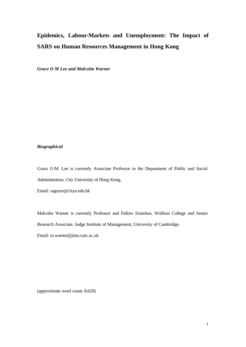## **Epidemics, Labour-Markets and Unemployment: The Impact of SARS on Human Resources Management in Hong Kong**

*Grace O M Lee and Malcolm Warner*

#### *Biographical*

Grace O.M. Lee is currently Associate Professor in the Department of Public and Social Administration, City University of Hong Kong.

Email: sagrace@cityu.edu.hk

Malcolm Warner is currently Professor and Fellow Emeritus, Wolfson College and Senior Research Associate, Judge Institute of Management, University of Cambridge.

Email: m.warner@jims.cam.ac.uk

(approximate word count: 8,629)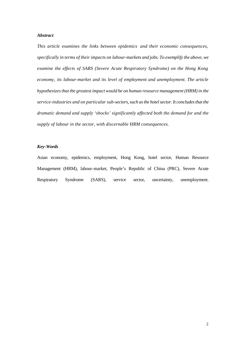#### *Abstract*

*This article examines the links between epidemics and their economic consequences, specifically in terms of their impacts on labour-markets and jobs. To exemplify the above, we examine the effects of SARS (Severe Acute Respiratory Syndrome) on the Hong Kong economy, its labour-market and its level of employment and unemployment. The article hypothesizes that the greatest impact would be on human resource management (HRM) in the service-industries and on particular sub-sectors, such as the hotel sector. It concludes that the dramatic demand and supply 'shocks' significantly affected both the demand for and the supply of labour in the sector, with discernable HRM consequences.* 

#### *Key-Words*

Asian economy, epidemics, employment, Hong Kong, hotel sector, Human Resource Management (HRM), labour-market, People's Republic of China (PRC), Severe Acute Respiratory Syndrome (SARS), service sector, uncertainty, unemployment.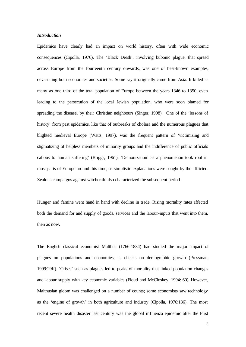#### *Introduction*

Epidemics have clearly had an impact on world history, often with wide economic consequences (Cipolla, 1976). The 'Black Death', involving bubonic plague, that spread across Europe from the fourteenth century onwards, was one of best-known examples, devastating both economies and societies. Some say it originally came from Asia. It killed as many as one-third of the total population of Europe between the years 1346 to 1350, even leading to the persecution of the local Jewish population, who were soon blamed for spreading the disease, by their Christian neighbours (Singer, 1998). One of the 'lessons of history' from past epidemics, like that of outbreaks of cholera and the numerous plagues that blighted medieval Europe (Watts, 1997), was the frequent pattern of 'victimizing and stigmatizing of helpless members of minority groups and the indifference of public officials callous to human suffering' (Briggs, 1961). 'Demonization' as a phenomenon took root in most parts of Europe around this time, as simplistic explanations were sought by the afflicted. Zealous campaigns against witchcraft also characterized the subsequent period.

Hunger and famine went hand in hand with decline in trade. Rising mortality rates affected both the demand for and supply of goods, services and the labour-inputs that went into them, then as now.

The English classical economist Malthus (1766-1834) had studied the major impact of plagues on populations and economies, as checks on demographic growth (Pressman, 1999:29ff). 'Crises' such as plagues led to peaks of mortality that linked population changes and labour supply with key economic variables (Floud and McCloskey, 1994: 60). However, Malthusian gloom was challenged on a number of counts; some economists saw technology as the 'engine of growth' in both agriculture and industry (Cipolla, 1976:136). The most recent severe health disaster last century was the global influenza epidemic after the First

3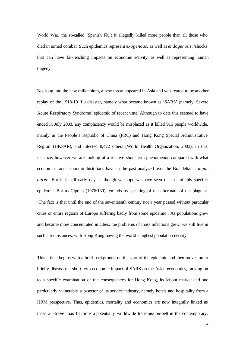World War, the so-called 'Spanish Flu'; it allegedly killed more people than all those who died in armed combat. Such epidemics represent *exogenous*, as well as *endogenous*, 'shocks' that can have far-reaching impacts on economic activity, as well as representing human tragedy.

Not long into the new millennium, a new threat appeared in Asia and was feared to be another replay of the 1918-19 'flu disaster, namely what became known as 'SARS' (namely, Severe Acute Respiratory Syndrome) epidemic of recent time. Although to date this seemed to have ended in July 2003, any complacency would be misplaced as it killed 916 people worldwide, mainly in the People's Republic of China (PRC) and Hong Kong Special Administrative Region (HKSAR), and infected 8,422 others (World Health Organization, 2003). In this instance, however we are looking at a relative short-term phenomenon compared with what economists and economic historians have in the past analyzed over the Braudelian *longue durée*. But it is still early days, although we hope we have seen the last of this specific epidemic. But as Cipolla (1976:130) reminds us speaking of the aftermath of the plagues:- 'The fact is that until the end of the seventeenth century not a year passed without particular cities or entire regions of Europe suffering badly from some epidemic'. As populations grew and became more concentrated in cities, the problems of mass infections grew: we still live in such circumstances, with Hong Kong having the world's highest population density.

This article begins with a brief background on the start of the epidemic and then moves on to briefly discuss the short-term economic impact of SARS on the Asian economies, moving on to a specific examination of the consequences for Hong Kong, its labour-market and one particularly vulnerable sub-sector of its service industry, namely hotels and hospitality from a HRM perspective. Thus, epidemics, mortality and economics are now integrally linked as mass air-travel has become a potentially worldwide transmission-belt in the contemporary,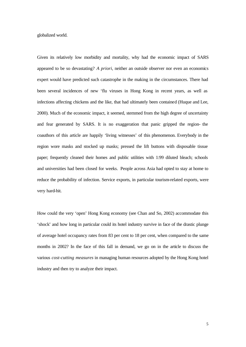globalized world.

Given its relatively low morbidity and mortality, why had the economic impact of SARS appeared to be so devastating? *A priori*, neither an outside observer nor even an economics expert would have predicted such catastrophe in the making in the circumstances. There had been several incidences of new 'flu viruses in Hong Kong in recent years, as well as infections affecting chickens and the like, that had ultimately been contained (Huque and Lee, 2000). Much of the economic impact, it seemed, stemmed from the high degree of uncertainty and fear generated by SARS. It is no exaggeration that panic gripped the region- the coauthors of this article are happily 'living witnesses' of this phenomenon. Everybody in the region wore masks and stocked up masks; pressed the lift buttons with disposable tissue paper; frequently cleaned their homes and public utilities with 1:99 diluted bleach; schools and universities had been closed for weeks. People across Asia had opted to stay at home to reduce the probability of infection. Service exports, in particular tourism-related exports, were very hard-hit.

How could the very 'open' Hong Kong economy (see Chan and So, 2002) accommodate this 'shock' and how long in particular could its hotel industry survive in face of the drastic plunge of average hotel occupancy rates from 83 per cent to 18 per cent, when compared to the same months in 2002? In the face of this fall in demand, we go on in the article to discuss the various *cost-cutting measures* in managing human resources adopted by the Hong Kong hotel industry and then try to analyze their impact.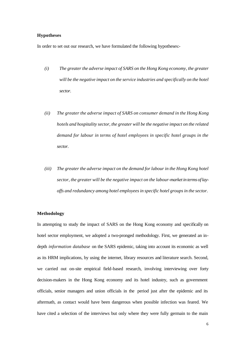#### **Hypotheses**

In order to set out our research, we have formulated the following hypotheses:-

- *(i) The greater the adverse impact of SARS on the Hong Kong economy, the greater will be the negative impact on the service industries and specifically on the hotel sector.*
- *(ii) The greater the adverse impact of SARS on consumer demand in the Hong Kong hotels and hospitality sector, the greater will be the negative impact on the related demand for labour in terms of hotel employees in specific hotel groups in the sector.*
- *(iii) The greater the adverse impact on the demand for labour in the Hong Kong hotel sector, the greater will be the negative impact on the labour-market in terms of layoffs and redundancy among hotel employees in specific hotel groups in the sector.*

#### **Methodology**

In attempting to study the impact of SARS on the Hong Kong economy and specifically on hotel sector employment, we adopted a two-pronged methodology. First, we generated an indepth *information database* on the SARS epidemic, taking into account its economic as well as its HRM implications, by using the internet, library resources and literature search. Second, we carried out on-site empirical field-based research, involving interviewing over forty decision-makers in the Hong Kong economy and its hotel industry, such as government officials, senior managers and union officials in the period just after the epidemic and its aftermath, as contact would have been dangerous when possible infection was feared. We have cited a selection of the interviews but only where they were fully germain to the main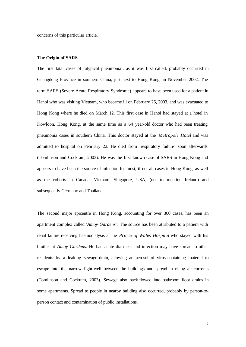concerns of this particular article.

#### **The Origin of SARS**

The first fatal cases of 'atypical pneumonia', as it was first called, probably occurred in Guangdong Province in southern China, just next to Hong Kong, in November 2002. The term SARS (Severe Acute Respiratory Syndrome) appears to have been used for a patient in Hanoi who was visiting Vietnam, who became ill on February 26, 2003, and was evacuated to Hong Kong where he died on March 12. This first case in Hanoi had stayed at a hotel in Kowloon, Hong Kong, at the same time as a 64 year-old doctor who had been treating pneumonia cases in southern China. This doctor stayed at the *Metropole Hotel* and was admitted to hospital on February 22. He died from 'respiratory failure' soon afterwards (Tomlinson and Cockram, 2003). He was the first known case of SARS in Hong Kong and appears to have been the source of infection for most, if not all cases in Hong Kong, as well as the cohorts in Canada, Vietnam, Singapore, USA, (not to mention Ireland) and subsequently Germany and Thailand.

The second major epicentre in Hong Kong, accounting for over 300 cases, has been an apartment complex called '*Amoy Gardens'*. The source has been attributed to a patient with renal failure receiving haemodialysis at the *Prince of Wales Hospital* who stayed with his brother at *Amoy Gardens*. He had acute diarrhea, and infection may have spread to other residents by a leaking sewage-drain, allowing an aerosol of virus-containing material to escape into the narrow light-well between the buildings and spread in rising air-currents (Tomlinson and Cockram, 2003). Sewage also back-flowed into bathroom floor drains in some apartments. Spread to people in nearby building also occurred, probably by person-toperson contact and contamination of public installations.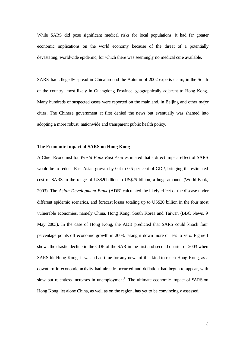While SARS did pose significant medical risks for local populations, it had far greater economic implications on the world economy because of the threat of a potentially devastating, worldwide epidemic, for which there was seemingly no medical cure available.

SARS had allegedly spread in China around the Autumn of 2002 experts claim, in the South of the country, most likely in Guangdong Province, geographically adjacent to Hong Kong. Many hundreds of suspected cases were reported on the mainland, in Beijing and other major cities. The Chinese government at first denied the news but eventually was shamed into adopting a more robust, nationwide and transparent public health policy.

#### **The Economic Impact of SARS on Hong Kong**

A Chief Economist for *World Bank East Asia* estimated that a direct impact effect of SARS would be to reduce East Asian growth by 0.4 to 0.5 per cent of GDP, bringing the estimated cost of SARS in the range of US\$20billion to US\$25 billion, a huge amount<sup>1</sup> (World Bank, 2003). The *Asian Development Bank* (ADB) calculated the likely effect of the disease under different epidemic scenarios, and forecast losses totaling up to US\$20 billion in the four most vulnerable economies, namely China, Hong Kong, South Korea and Taiwan (BBC News, 9 May 2003). In the case of Hong Kong, the ADB predicted that SARS could knock four percentage points off economic growth in 2003, taking it down more or less to zero. Figure 1 shows the drastic decline in the GDP of the SAR in the first and second quarter of 2003 when SARS hit Hong Kong. It was a bad time for any news of this kind to reach Hong Kong, as a downturn in economic activity had already occurred and deflation had begun to appear, with slow but relentless increases in unemployment<sup>2</sup>. The ultimate economic impact of SARS on Hong Kong, let alone China, as well as on the region, has yet to be convincingly assessed.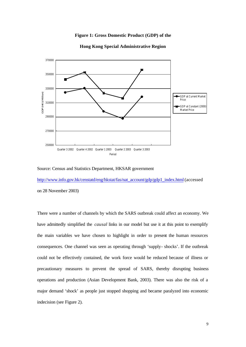#### **Figure 1: Gross Domestic Product (GDP) of the**



#### **Hong Kong Special Administrative Region**

#### Source: Census and Statistics Department, HKSAR government

http://www.info.gov.hk/censtatd/eng/hkstat/fas/nat\_account/gdp/gdp1\_index.html (accessed on 28 November 2003)

There were a number of channels by which the SARS outbreak could affect an economy. We have admittedly simplified the *causal* links in our model but use it at this point to exemplify the main variables we have chosen to highlight in order to present the human resources consequences. One channel was seen as operating through 'supply- shocks'. If the outbreak could not be effectively contained, the work force would be reduced because of illness or precautionary measures to prevent the spread of SARS, thereby disrupting business operations and production (Asian Development Bank, 2003). There was also the risk of a major demand 'shock' as people just stopped shopping and became paralyzed into economic indecision (see Figure 2).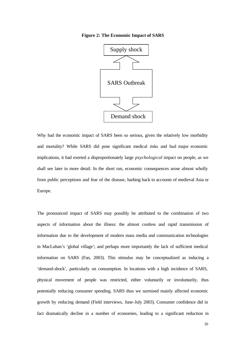**Figure 2: The Economic Impact of SARS**



Why had the economic impact of SARS been so serious, given the relatively low morbidity and mortality? While SARS did pose significant medical risks and had major economic implications, it had exerted a disproportionately large *psychological* impact on people, as we shall see later in more detail. In the short run, economic consequences arose almost wholly from public perceptions and fear of the disease, harking back to accounts of medieval Asia or Europe.

The pronounced impact of SARS may possibly be attributed to the combination of two aspects of information about the illness: the almost costless and rapid transmission of information due to the development of modern mass media and communication technologies in MacLuhan's 'global village'; and perhaps more importantly the lack of sufficient medical information on SARS (Fan, 2003). This stimulus may be conceptualized as inducing a 'demand-shock', particularly on consumption. In locations with a high incidence of SARS, physical movement of people was restricted, either voluntarily or involuntarily, thus potentially reducing consumer spending. SARS thus we surmised mainly affected economic growth by reducing demand (Field interviews, June-July 2003). Consumer confidence did in fact dramatically decline in a number of economies, leading to a significant reduction in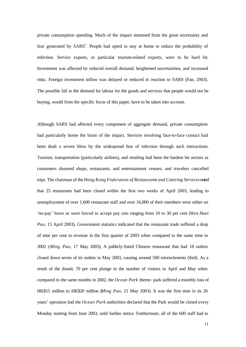private consumption spending. Much of the impact stemmed from the great uncertainty and fear generated by SARS<sup>3</sup>. People had opted to stay at home to reduce the probability of infection. Service exports, in particular tourism-related exports, were to be hard hit. Investment was affected by reduced overall demand, heightened uncertainties, and increased risks. Foreign investment inflow was delayed or reduced in reaction to SARS (Fan, 2003). The possible fall in the demand for labour for the goods and services that people would not be buying, would from the specific focus of this paper, have to be taken into account.

Although SARS had affected every component of aggregate demand, private consumption had particularly borne the brunt of the impact. Services involving face-to-face contact had been dealt a severe blow by the widespread fear of infection through such interactions. Tourism, transportation (particularly airlines), and retailing had been the hardest hit sectors as consumers shunned shops, restaurants, and entertainment venues; and travelers cancelled trips. The chairman of the *Hong Kong Federation of Restaurants and Catering Services* noted that 25 restaurants had been closed within the first two weeks of April 2003, leading to unemployment of over 1,600 restaurant staff and over 16,000 of their members were either on 'no-pay' leave or were forced to accept pay cuts ranging from 10 to 30 per cent (*Wen Huei Pao*, 15 April 2003). Government statistics indicated that the restaurant trade suffered a drop of nine per cent in revenue in the first quarter of 2003 when compared to the same time in 2002 (*Ming Pao*, 17 May 2003). A publicly-listed Chinese restaurant that had 18 outlets closed down seven of its outlets in May 2003, causing around 500 retrenchments (ibid). As a result of the drastic 70 per cent plunge in the number of visitors in April and May when compared to the same months in 2002, the *Ocean Park* theme- park suffered a monthly loss of HK\$15 million to HK\$20 million (*Ming Pao*, 21 May 2003). It was the first time in its 26 years' operation had the *Ocean Park* authorities declared that the Park would be closed every Monday starting from June 2003, until further notice. Furthermore, all of the 600 staff had to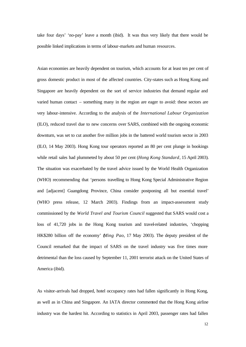take four days' 'no-pay' leave a month (ibid). It was thus very likely that there would be possible linked implications in terms of labour-markets and human resources.

Asian economies are heavily dependent on tourism, which accounts for at least ten per cent of gross domestic product in most of the affected countries. City-states such as Hong Kong and Singapore are heavily dependent on the sort of service industries that demand regular and varied human contact – something many in the region are eager to avoid: these sectors are very labour-intensive. According to the analysis of the *International Labour Organization* (ILO), reduced travel due to new concerns over SARS, combined with the ongoing economic downturn, was set to cut another five million jobs in the battered world tourism sector in 2003 (ILO, 14 May 2003). Hong Kong tour operators reported an 80 per cent plunge in bookings while retail sales had plummeted by about 50 per cent (*Hong Kong Standard*, 15 April 2003). The situation was exacerbated by the travel advice issued by the World Health Organization (WHO) recommending that 'persons travelling to Hong Kong Special Administrative Region and [adjacent] Guangdong Province, China consider postponing all but essential travel' (WHO press release, 12 March 2003). Findings from an impact-assessment study commissioned by the *World Travel and Tourism Council* suggested that SARS would cost a loss of 41,720 jobs in the Hong Kong tourism and travel-related industries, 'chopping HK\$280 billion off the economy' (*Ming Pao*, 17 May 2003). The deputy president of the Council remarked that the impact of SARS on the travel industry was five times more detrimental than the loss caused by September 11, 2001 terrorist attack on the United States of America (ibid).

As visitor-arrivals had dropped, hotel occupancy rates had fallen significantly in Hong Kong, as well as in China and Singapore. An IATA director commented that the Hong Kong airline industry was the hardest hit. According to statistics in April 2003, passenger rates had fallen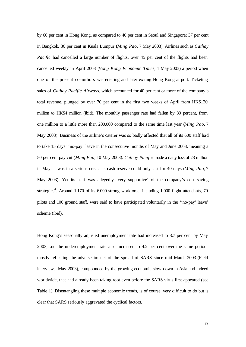by 60 per cent in Hong Kong, as compared to 40 per cent in Seoul and Singapore; 37 per cent in Bangkok, 36 per cent in Kuala Lumpur (*Ming Pao*, 7 May 2003). Airlines such as *Cathay Pacific* had cancelled a large number of flights; over 45 per cent of the flights had been cancelled weekly in April 2003 (*Hong Kong Economic Times*, 1 May 2003) a period when one of the present co-authors was entering and later exiting Hong Kong airport. Ticketing sales of *Cathay Pacific Airways*, which accounted for 40 per cent or more of the company's total revenue, plunged by over 70 per cent in the first two weeks of April from HK\$120 million to HK\$4 million (ibid). The monthly passenger rate had fallen by 80 percent, from one million to a little more than 200,000 compared to the same time last year (*Ming Pao*, 7 May 2003). Business of the airline's caterer was so badly affected that all of its 600 staff had to take 15 days' 'no-pay' leave in the consecutive months of May and June 2003, meaning a 50 per cent pay cut (*Ming Pao*, 10 May 2003). *Cathay Pacific* made a daily loss of 23 million in May. It was in a serious crisis; its cash reserve could only last for 40 days (*Ming Pao*, 7 May 2003). Yet its staff was allegedly 'very supportive' of the company's cost saving strategies<sup>4</sup>. Around 1,170 of its 6,000-strong workforce, including 1,000 flight attendants, 70 pilots and 100 ground staff, were said to have participated voluntarily in the ''no-pay' leave' scheme (ibid).

Hong Kong's seasonally adjusted unemployment rate had increased to 8.7 per cent by May 2003, and the underemployment rate also increased to 4.2 per cent over the same period, mostly reflecting the adverse impact of the spread of SARS since mid-March 2003 (Field interviews, May 2003), compounded by the growing economic slow-down in Asia and indeed worldwide, that had already been taking root even before the SARS virus first appeared (see Table 1). Disentangling these multiple economic trends, is of course, very difficult to do but is clear that SARS seriously aggravated the cyclical factors.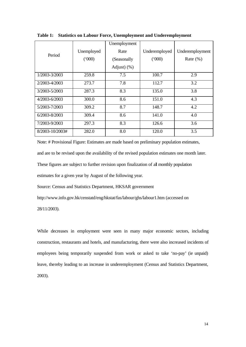|                 |            | Unemployment |               |                 |
|-----------------|------------|--------------|---------------|-----------------|
| Period          | Unemployed | Rate         | Underemployed | Underemployment |
|                 | (000)      | (Seasonally  | (000)         | Rate $(\% )$    |
|                 |            | Adjust $(%)$ |               |                 |
| 1/2003-3/2003   | 259.8      | 7.5          | 100.7         | 2.9             |
| 2/2003-4/2003   | 273.7      | 7.8          | 112.7         | 3.2             |
| 3/2003-5/2003   | 287.3      | 8.3          | 135.0         | 3.8             |
| 4/2003-6/2003   | 300.0      | 8.6          | 151.0         | 4.3             |
| 5/2003-7/2003   | 309.2      | 8.7          | 148.7         | 4.2             |
| 6/2003-8/2003   | 309.4      | 8.6          | 141.0         | 4.0             |
| 7/2003-9/2003   | 297.3      | 8.3          | 126.6         | 3.6             |
| 8/2003-10/2003# | 282.0      | 8.0          | 120.0         | 3.5             |

**Table 1: Statistics on Labour Force, Unemployment and Underemployment**

Note: # Provisional Figure: Estimates are made based on preliminary population estimates,

and are to be revised upon the availability of the revised population estimates one month later.

These figures are subject to further revision upon finalization of all monthly population

estimates for a given year by August of the following year.

Source: Census and Statistics Department, HKSAR government

http://www.info.gov.hk/censtatd/eng/hkstat/fas/labour/ghs/labour1.htm (accessed on

28/11/2003).

While decreases in employment were seen in many major economic sectors, including construction, restaurants and hotels, and manufacturing, there were also increased incidents of employees being temporarily suspended from work or asked to take 'no-pay' (ie unpaid) leave, thereby leading to an increase in underemployment (Census and Statistics Department, 2003).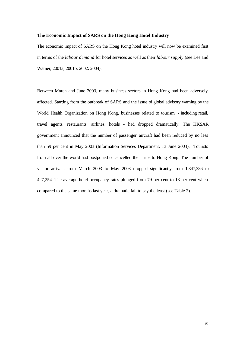#### **The Economic Impact of SARS on the Hong Kong Hotel Industry**

The economic impact of SARS on the Hong Kong hotel industry will now be examined first in terms of the *labour demand* for hotel services as well as their *labour supply* (see Lee and Warner, 2001a; 2001b; 2002: 2004).

Between March and June 2003, many business sectors in Hong Kong had been adversely affected. Starting from the outbreak of SARS and the issue of global advisory warning by the World Health Organization on Hong Kong, businesses related to tourism - including retail, travel agents, restaurants, airlines, hotels - had dropped dramatically. The HKSAR government announced that the number of passenger aircraft had been reduced by no less than 59 per cent in May 2003 (Information Services Department, 13 June 2003). Tourists from all over the world had postponed or cancelled their trips to Hong Kong. The number of visitor arrivals from March 2003 to May 2003 dropped significantly from 1,347,386 to 427,254. The average hotel occupancy rates plunged from 79 per cent to 18 per cent when compared to the same months last year, a dramatic fall to say the least (see Table 2).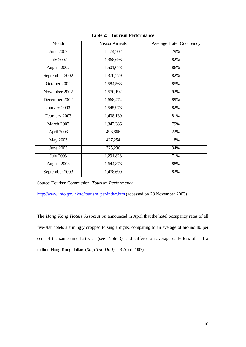| Month            | <b>Visitor Arrivals</b> | <b>Average Hotel Occupancy</b> |
|------------------|-------------------------|--------------------------------|
| June 2002        | 1,174,202               | 79%                            |
| <b>July 2002</b> | 1,368,693               | 82%                            |
| August 2002      | 1,501,078               | 86%                            |
| September 2002   | 1,370,279               | 82%                            |
| October 2002     | 1,584,563               | 85%                            |
| November 2002    | 1,570,192               | 92%                            |
| December 2002    | 1,668,474               | 89%                            |
| January 2003     | 1,545,978               | 82%                            |
| February 2003    | 1,408,139               | 81%                            |
| March 2003       | 1,347,386               | 79%                            |
| April 2003       | 493,666                 | 22%                            |
| May 2003         | 427,254                 | 18%                            |
| <b>June 2003</b> | 725,236                 | 34%                            |
| <b>July 2003</b> | 1,291,828               | 71%                            |
| August 2003      | 1,644,878               | 88%                            |
| September 2003   | 1,478,699               | 82%                            |

**Table 2: Tourism Performance**

Source: Tourism Commission, *Tourism Performance.* 

http://www.info.gov.hk/tc/tourism\_per/index.htm (accessed on 28 November 2003)

The *Hong Kong Hotels Association* announced in April that the hotel occupancy rates of all five-star hotels alarmingly dropped to single digits, comparing to an average of around 80 per cent of the same time last year (see Table 3), and suffered an average daily loss of half a million Hong Kong dollars (*Sing Tao Daily*, 13 April 2003).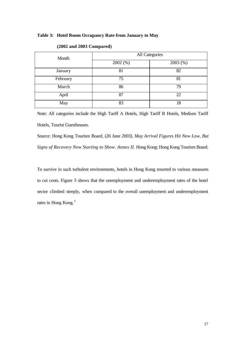#### **Table 3: Hotel Room Occupancy Rate from January to May**

| Month    | All Categories |         |  |
|----------|----------------|---------|--|
|          | 2002(%)        | 2003(%) |  |
| January  | 81             | 82      |  |
| February | 75             | 81      |  |
| March    | 86             | 79      |  |
| April    | 87             | 22      |  |
| May      | 83             | 18      |  |

#### **(2002 and 2003 Compared)**

Note: All categories include the High Tariff A Hotels, High Tariff B Hotels, Medium Tariff Hotels, Tourist Guesthouses.

Source: Hong Kong Tourism Board, (26 June 2003). *May Arrival Figures Hit New Low, But Signs of Recovery Now Starting to Show. Annex II.* Hong Kong: Hong Kong Tourism Board.

To survive in such turbulent environments, hotels in Hong Kong resorted to various measures to cut costs. Figure 3 shows that the unemployment and underemployment rates of the hotel sector climbed steeply, when compared to the overall unemployment and underemployment rates in Hong Kong.<sup>5</sup>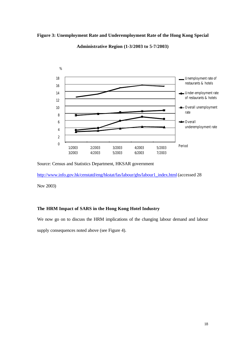#### **Figure 3: Unemployment Rate and Underemployment Rate of the Hong Kong Special**



**Administrative Region (1-3/2003 to 5-7/2003)**

http://www.info.gov.hk/censtatd/eng/hkstat/fas/labour/ghs/labour1\_index.html (accessed 28

Nov 2003)

#### **The HRM Impact of SARS in the Hong Kong Hotel Industry**

We now go on to discuss the HRM implications of the changing labour demand and labour

supply consequences noted above (see Figure 4).

Source: Census and Statistics Department, HKSAR government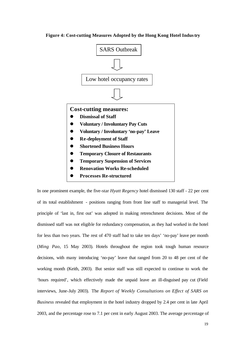#### **Figure 4: Cost-cutting Measures Adopted by the Hong Kong Hotel Industry**



In one prominent example, the five-star *Hyatt Regency* hotel dismissed 130 staff - 22 per cent of its total establishment - positions ranging from front line staff to managerial level. The principle of 'last in, first out' was adopted in making retrenchment decisions. Most of the dismissed staff was not eligible for redundancy compensation, as they had worked in the hotel for less than two years. The rest of 470 staff had to take ten days' 'no-pay' leave per month (*Ming Pao*, 15 May 2003). Hotels throughout the region took tough human resource decisions, with many introducing 'no-pay' leave that ranged from 20 to 48 per cent of the working month (Keith, 2003). But senior staff was still expected to continue to work the 'hours required', which effectively made the unpaid leave an ill-disguised pay cut (Field interviews, June-July 2003). The *Report of Weekly Consultations on Effect of SARS on Business* revealed that employment in the hotel industry dropped by 2.4 per cent in late April 2003, and the percentage rose to 7.1 per cent in early August 2003. The average percentage of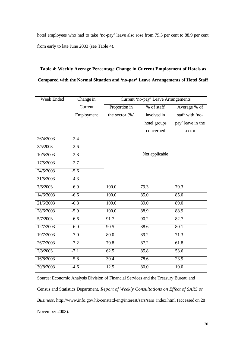hotel employees who had to take 'no-pay' leave also rose from 79.3 per cent to 88.9 per cent from early to late June 2003 (see Table 4).

### **Table 4: Weekly Average Percentage Change in Current Employment of Hotels as Compared with the Normal Situation and 'no-pay' Leave Arrangements of Hotel Staff**

| Week Ended | Change in  | Current 'no-pay' Leave Arrangements |                |                   |
|------------|------------|-------------------------------------|----------------|-------------------|
|            | Current    | Proportion in                       | % of staff     | Average % of      |
|            | Employment | the sector $(\%)$                   | involved in    | staff with 'no-   |
|            |            |                                     | hotel groups   | pay' leave in the |
|            |            |                                     | concerned      | sector            |
| 26/4/2003  | $-2.4$     |                                     |                |                   |
| 3/5/2003   | $-2.6$     |                                     |                |                   |
| 10/5/2003  | $-2.8$     |                                     | Not applicable |                   |
| 17/5/2003  | $-2.7$     |                                     |                |                   |
| 24/5/2003  | $-5.6$     |                                     |                |                   |
| 31/5/2003  | $-4.3$     |                                     |                |                   |
| 7/6/2003   | $-6.9$     | 100.0                               | 79.3           | 79.3              |
| 14/6/2003  | $-6.6$     | 100.0                               | 85.0           | 85.0              |
| 21/6/2003  | $-6.8$     | 100.0                               | 89.0           | 89.0              |
| 28/6/2003  | $-5.9$     | 100.0                               | 88.9           | 88.9              |
| 5/7/2003   | $-6.6$     | 91.7                                | 90.2           | 82.7              |
| 12/7/2003  | $-6.0$     | 90.5                                | 88.6           | 80.1              |
| 19/7/2003  | $-7.0$     | 80.0                                | 89.2           | 71.3              |
| 26/7/2003  | $-7.2$     | 70.8                                | 87.2           | 61.8              |
| 2/8/2003   | $-7.1$     | 62.5                                | 85.8           | $\overline{53.6}$ |
| 16/8/2003  | $-5.8$     | 30.4                                | 78.6           | 23.9              |
| 30/8/2003  | $-4.6$     | 12.5                                | 80.0           | 10.0              |

Source: Economic Analysis Division of Financial Services and the Treasury Bureau and Census and Statistics Department, *Report of Weekly Consultations on Effect of SARS on Business*. http://www.info.gov.hk/censtatd/eng/interest/sars/sars\_index.html (accessed on 28 November 2003).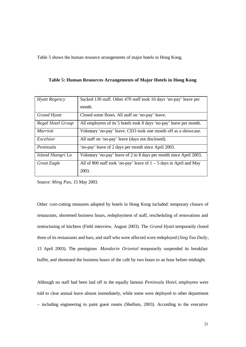Table 5 shows the human resource arrangements of major hotels in Hong Kong.

| <b>Hyatt Regency</b> | Sacked 130 staff. Other 470 staff took 10 days 'no-pay' leave per     |  |
|----------------------|-----------------------------------------------------------------------|--|
|                      | month.                                                                |  |
| <b>Grand Hyatt</b>   | Closed some floors. All staff on 'no-pay' leave.                      |  |
| Regal Hotel Group    | All employees of its 5 hotels took 8 days 'no-pay' leave per month.   |  |
| <b>Marriott</b>      | Voluntary 'no-pay' leave. CEO took one month off as a showcase.       |  |
| Excelsior            | All staff on 'no-pay' leave (days not disclosed).                     |  |
| Peninsula            | 'no-pay' leave of 2 days per month since April 2003.                  |  |
| Island Shangri La    | Voluntary 'no-pay' leave of 2 to 8 days per month since April 2003.   |  |
| <b>Great Eagle</b>   | All of 800 staff took 'no-pay' leave of $1 - 5$ days in April and May |  |
|                      | 2003.                                                                 |  |

**Table 5: Human Resources Arrangements of Major Hotels in Hong Kong**

Source: *Ming Pao*, 15 May 2003.

Other cost-cutting measures adopted by hotels in Hong Kong included: temporary closure of restaurants, shortened business hours, redeployment of staff, rescheduling of renovations and restructuring of kitchens (Field interview, August 2003). The *Grand Hyatt* temporarily closed three of its restaurants and bars, and staff who were affected were redeployed (*Sing Tao Daily*, 13 April 2003). The prestigious *Mandarin Oriental* temporarily suspended its breakfast buffet, and shortened the business hours of the café by two hours to an hour before midnight.

Although no staff had been laid off in the equally famous *Peninsula Hotel*, employees were told to clear annual leave almost immediately, while some were deployed to other department – including engineering to paint guest rooms (Shellum, 2003). According to the executive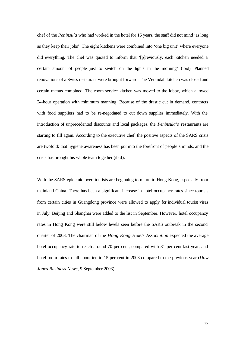chef of the *Peninsula* who had worked in the hotel for 16 years, the staff did not mind 'as long as they keep their jobs'. The eight kitchens were combined into 'one big unit' where everyone did everything. The chef was quoted to inform that '[p]reviously, each kitchen needed a certain amount of people just to switch on the lights in the morning' (ibid). Planned renovations of a Swiss restaurant were brought forward. The Verandah kitchen was closed and certain menus combined. The room-service kitchen was moved to the lobby, which allowed 24-hour operation with minimum manning. Because of the drastic cut in demand, contracts with food suppliers had to be re-negotiated to cut down supplies immediately. With the introduction of unprecedented discounts and local packages, the *Peninsula's* restaurants are starting to fill again. According to the executive chef, the positive aspects of the SARS crisis are twofold: that hygiene awareness has been put into the forefront of people's minds, and the crisis has brought his whole team together (ibid).

With the SARS epidemic over, tourists are beginning to return to Hong Kong, especially from mainland China. There has been a significant increase in hotel occupancy rates since tourists from certain cities in Guangdong province were allowed to apply for individual tourist visas in July. Beijing and Shanghai were added to the list in September. However, hotel occupancy rates in Hong Kong were still below levels seen before the SARS outbreak in the second quarter of 2003. The chairman of the *Hong Kong Hotels Association* expected the average hotel occupancy rate to reach around 70 per cent, compared with 81 per cent last year, and hotel room rates to fall about ten to 15 per cent in 2003 compared to the previous year (*Dow Jones Business News*, 9 September 2003).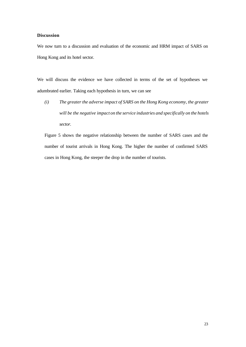#### **Discussion**

We now turn to a discussion and evaluation of the economic and HRM impact of SARS on Hong Kong and its hotel sector.

We will discuss the evidence we have collected in terms of the set of hypotheses we adumbrated earlier. Taking each hypothesis in turn, we can see

*(i) The greater the adverse impact of SARS on the Hong Kong economy, the greater will be the negative impact on the service industries and specifically on the hotels sector.*

Figure 5 shows the negative relationship between the number of SARS cases and the number of tourist arrivals in Hong Kong. The higher the number of confirmed SARS cases in Hong Kong, the steeper the drop in the number of tourists.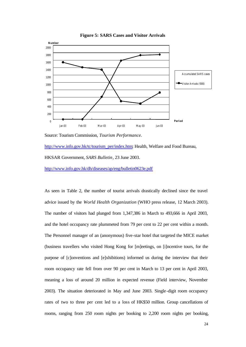

**Figure 5: SARS Cases and Visitor Arrivals**

Source: Tourism Commission, *Tourism Performance.* 

http://www.info.gov.hk/tc/tourism\_per/index.htm; Health, Welfare and Food Bureau, HKSAR Government, *SARS Bulletin*, 23 June 2003. http://www.info.gov.hk/dh/diseases/ap/eng/bulletin0623e.pdf

As seen in Table 2, the number of tourist arrivals drastically declined since the travel advice issued by the *World Health Organization* (WHO press release, 12 March 2003). The number of visitors had plunged from 1,347,386 in March to 493,666 in April 2003, and the hotel occupancy rate plummeted from 79 per cent to 22 per cent within a month. The Personnel manager of an (anonymous) five-star hotel that targeted the MICE market (business travellers who visited Hong Kong for [m]eetings, on [i]ncentive tours, for the purpose of [c]onventions and [e]xhibitions) informed us during the interview that their room occupancy rate fell from over 90 per cent in March to 13 per cent in April 2003, meaning a loss of around 20 million in expected revenue (Field interview, November 2003). The situation deteriorated in May and June 2003. Single-digit room occupancy rates of two to three per cent led to a loss of HK\$50 million. Group cancellations of rooms, ranging from 250 room nights per booking to 2,200 room nights per booking,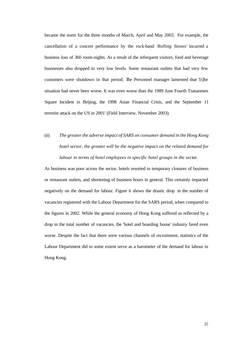became the norm for the three months of March, April and May 2003. For example, the cancellation of a concert performance by the rock-band *'Rolling Stones'* incurred a business loss of 360 room-nights. As a result of the infrequent visitors, food and beverage businesses also dropped to very low levels. Some restaurant outlets that had very few customers were shutdown in that period. The Personnel manager lamented that '[t]he situation had never been worse. It was even worse than the 1989 June Fourth Tiananmen Square Incident in Beijing, the 1998 Asian Financial Crisis, and the September 11 terrorist attack on the US in 2001' (Field Interview, November 2003).

## (ii) *The greater the adverse impact of SARS on consumer demand in the Hong Kong hotel sector, the greater will be the negative impact on the related demand for labour in terms of hotel employees in specific hotel groups in the sector.*

As business was poor across the sector, hotels resorted to temporary closures of business or restaurant outlets, and shortening of business hours in general. This certainly impacted negatively on the demand for labour. Figure 6 shows the drastic drop in the number of vacancies registered with the Labour Department for the SARS period, when compared to the figures in 2002. While the general economy of Hong Kong suffered as reflected by a drop in the total number of vacancies, the 'hotel and boarding house' industry fared even worse. Despite the fact that there were various channels of recruitment, statistics of the Labour Department did to some extent serve as a barometer of the demand for labour in Hong Kong.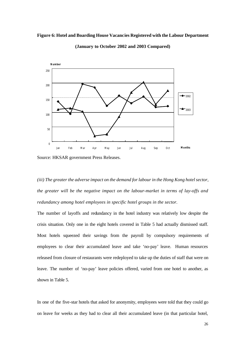#### **Figure 6: Hotel and Boarding House Vacancies Registered with the Labour Department**



**(January to October 2002 and 2003 Compared)**

*(iii) The greater the adverse impact on the demand for labour in the Hong Kong hotel sector, the greater will be the negative impact on the labour-market in terms of lay-offs and redundancy among hotel employees in specific hotel groups in the sector.*

The number of layoffs and redundancy in the hotel industry was relatively low despite the crisis situation. Only one in the eight hotels covered in Table 5 had actually dismissed staff. Most hotels squeezed their savings from the payroll by compulsory requirements of employees to clear their accumulated leave and take 'no-pay' leave. Human resources released from closure of restaurants were redeployed to take up the duties of staff that were on leave. The number of 'no-pay' leave policies offered, varied from one hotel to another, as shown in Table 5.

In one of the five-star hotels that asked for anonymity, employees were told that they could go on leave for weeks as they had to clear all their accumulated leave (in that particular hotel,

Source: HKSAR government Press Releases.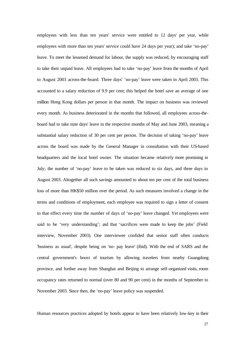employees with less than ten years' service were entitled to 12 days' per year, while employees with more than ten years' service could have 24 days per year); and take 'no-pay' leave. To meet the lessened demand for labour, the supply was reduced, by encouraging staff to take their unpaid leave. All employees had to take 'no-pay' leave from the months of April to August 2003 across-the-board. Three days' 'no-pay' leave were taken in April 2003. This accounted to a salary reduction of 9.9 per cent; this helped the hotel save an average of one million Hong Kong dollars per person in that month. The impact on business was reviewed every month. As business deteriorated in the months that followed, all employees across-theboard had to take nine days' leave in the respective months of May and June 2003, meaning a substantial salary reduction of 30 per cent per person. The decision of taking 'no-pay' leave across the board was made by the General Manager in consultation with their US-based headquarters and the local hotel owner. The situation became relatively more promising in July; the number of 'no-pay' leave to be taken was reduced to six days, and three days in August 2003. Altogether all such savings amounted to about ten per cent of the total business loss of more than HK\$50 million over the period. As such measures involved a change in the terms and conditions of employment, each employee was required to sign a letter of consent to that effect every time the number of days of 'no-pay' leave changed. Yet employees were said to be 'very understanding'; and that 'sacrifices were made to keep the jobs' (Field interview, November 2003). One interviewee confided that senior staff often conducts 'business as usual', despite being on 'no- pay leave' (ibid). With the end of SARS and the central government's boost of tourism by allowing travelers from nearby Guangdong province, and further away from Shanghai and Beijing to arrange self-organized visits, room occupancy rates returned to normal (over 80 and 90 per cent) in the months of September to November 2003. Since then, the 'no-pay' leave policy was suspended.

Human resources practices adopted by hotels appear to have been relatively low-key in their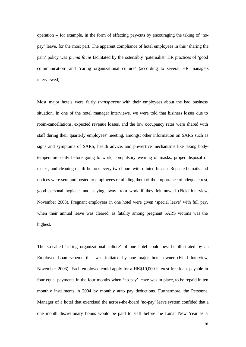operation – for example, in the form of effecting pay-cuts by encouraging the taking of 'nopay' leave, for the most part. The apparent compliance of hotel employees in this 'sharing the pain' policy was *prima facie* facilitated by the ostensibly 'paternalist' HR practices of 'good communication' and 'caring organizational culture' (according to several HR managers interviewed) $6$ .

Most major hotels were fairly *transparent* with their employees about the bad business situation. In one of the hotel manager interviews, we were told that business losses due to room-cancellations, expected revenue losses, and the low occupancy rates were shared with staff during their quarterly employees' meeting, amongst other information on SARS such as signs and symptoms of SARS, health advice, and preventive mechanisms like taking bodytemperature daily before going to work, compulsory wearing of masks, proper disposal of masks, and cleaning of lift-buttons every two hours with diluted bleach. Repeated emails and notices were sent and posted to employees reminding them of the importance of adequate rest, good personal hygiene, and staying away from work if they felt unwell (Field interview, November 2003). Pregnant employees in one hotel were given 'special leave' with full pay, when their annual leave was cleared, as fatality among pregnant SARS victims was the highest.

The so-called 'caring organizational culture' of one hotel could best be illustrated by an Employee Loan scheme that was initiated by one major hotel owner (Field Interview, November 2003). Each employee could apply for a HK\$10,000 interest free loan, payable in four equal payments in the four months when 'no-pay' leave was in place, to be repaid in ten monthly instalments in 2004 by monthly auto pay deductions. Furthermore, the Personnel Manager of a hotel that exercised the across-the-board 'no-pay' leave system confided that a one month discretionary bonus would be paid to staff before the Lunar New Year as a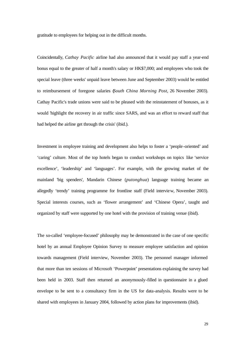gratitude to employees for helping out in the difficult months.

Coincidentally, *Cathay Pacific* airline had also announced that it would pay staff a year-end bonus equal to the greater of half a month's salary or HK\$7,000; and employees who took the special leave (three weeks' unpaid leave between June and September 2003) would be entitled to reimbursement of foregone salaries (*South China Morning Post*, 26 November 2003). Cathay Pacific's trade unions were said to be pleased with the reinstatement of bonuses, as it would 'highlight the recovery in air traffic since SARS, and was an effort to reward staff that had helped the airline get through the crisis' (ibid.).

Investment in employee training and development also helps to foster a 'people -oriented' and 'caring' culture. Most of the top hotels began to conduct workshops on topics like 'service excellence', 'leadership' and 'languages'. For example, with the growing market of the mainland 'big spenders', Mandarin Chinese (*putonghua*) language training became an allegedly 'trendy' training programme for frontline staff (Field interview, November 2003). Special interests courses, such as 'flower arrangement' and 'Chinese Opera', taught and organized by staff were supported by one hotel with the provision of training venue (ibid).

The so-called 'employee-focused' philosophy may be demonstrated in the case of one specific hotel by an annual Employee Opinion Survey to measure employee satisfaction and opinion towards management (Field interview, November 2003). The personnel manager informed that more than ten sessions of Microsoft 'Powerpoint' presentations explaining the survey had been held in 2003. Staff then returned an anonymously-filled in questionnaire in a glued envelope to be sent to a consultancy firm in the US for data-analysis. Results were to be shared with employees in January 2004, followed by action plans for improvements (ibid).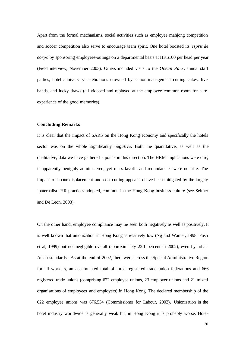Apart from the formal mechanisms, social activities such as employee mahjong competition and soccer competition also serve to encourage team spirit. One hotel boosted its *esprit de corps* by sponsoring employees-outings on a departmental basis at HK\$100 per head per year (Field interview, November 2003). Others included visits to the *Ocean Park*, annual staff parties, hotel anniversary celebrations crowned by senior management cutting cakes, live bands, and lucky draws (all videoed and replayed at the employee common-room for a reexperience of the good memories).

#### **Concluding Remarks**

It is clear that the impact of SARS on the Hong Kong economy and specifically the hotels sector was on the whole significantly *negative*. Both the quantitative, as well as the qualitative, data we have gathered - points in this direction. The HRM implications were dire, if apparently benignly administered; yet mass layoffs and redundancies were not rife. The impact of labour-displacement and cost-cutting appear to have been mitigated by the largely 'paternalist' HR practices adopted, common in the Hong Kong business culture (see Selmer and De Leon, 2003).

On the other hand, employee compliance may be seen both negatively as well as positively. It is well known that unionization in Hong Kong is relatively low (Ng and Warner, 1998: Fosh et al, 1999) but not negligible overall (approximately 22.1 percent in 2002), even by urban Asian standards. As at the end of 2002, there were across the Special Administrative Region for all workers, an accumulated total of three registered trade union federations and 666 registered trade unions (comprising 622 employee unions, 23 employer unions and 21 mixed organisations of employees and employers) in Hong Kong. The declared membership of the 622 employee unions was 676,534 (Commissioner for Labour, 2002). Unionization in the hotel industry worldwide is generally weak but in Hong Kong it is probably worse. Hotel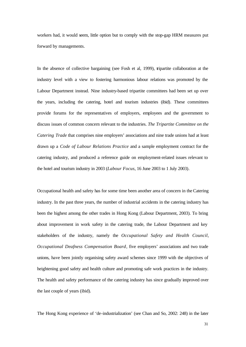workers had, it would seem, little option but to comply with the stop-gap HRM measures put forward by managements.

In the absence of collective bargaining (see Fosh et al, 1999), tripartite collaboration at the industry level with a view to fostering harmonious labour relations was promoted by the Labour Department instead. Nine industry-based tripartite committees had been set up over the years, including the catering, hotel and tourism industries (ibid). These committees provide forums for the representatives of employers, employees and the government to discuss issues of common concern relevant to the industries. *The Tripartite Committee on the Catering Trade* that comprises nine employers' associations and nine trade unions had at least drawn up a *Code of Labour Relations Practice* and a sample employment contract for the catering industry, and produced a reference guide on employment-related issues relevant to the hotel and tourism industry in 2003 (*Labour Focus*, 16 June 2003 to 1 July 2003).

Occupational health and safety has for some time been another area of concern in the Catering industry. In the past three years, the number of industrial accidents in the catering industry has been the highest among the other trades in Hong Kong (Labour Department, 2003). To bring about improvement in work safety in the catering trade, the Labour Department and key stakeholders of the industry, namely the *Occupational Safety and Health Council*, *Occupational Deafness Compensation Board*, five employers' associations and two trade unions, have been jointly organising safety award schemes since 1999 with the objectives of heightening good safety and health culture and promoting safe work practices in the industry. The health and safety performance of the catering industry has since gradually improved over the last couple of years (ibid).

The Hong Kong experience of 'de-industrialization' (see Chan and So, 2002: 248) in the later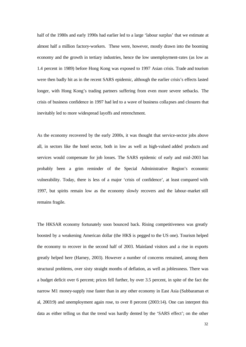half of the 1980s and early 1990s had earlier led to a large 'labour surplus' that we estimate at almost half a million factory-workers. These were, however, mostly drawn into the booming economy and the growth in tertiary industries, hence the low unemployment-rates (as low as 1.4 percent in 1989) before Hong Kong was exposed to 1997 Asian crisis. Trade and tourism were then badly hit as in the recent SARS epidemic, although the earlier crisis's effects lasted longer, with Hong Kong's trading partners suffering from even more severe setbacks. The crisis of business confidence in 1997 had led to a wave of business collapses and closures that inevitably led to more widespread layoffs and retrenchment.

As the economy recovered by the early 2000s, it was thought that service-sector jobs above all, in sectors like the hotel sector, both in low as well as high-valued added products and services would compensate for job losses. The SARS epidemic of early and mid-2003 has probably been a grim reminder of the Special Administrative Region's economic vulnerability. Today, there is less of a major 'crisis of confidence', at least compared with 1997, but spirits remain low as the economy slowly recovers and the labour-market still remains fragile.

The HKSAR economy fortunately soon bounced back. Rising competitiveness was greatly boosted by a weakening American dollar (the HK\$ is pegged to the US one). Tourism helped the economy to recover in the second half of 2003. Mainland visitors and a rise in exports greatly helped here (Harney, 2003). However a number of concerns remained, among them structural problems, over sixty straight months of deflation, as well as joblessness. There was a budget deficit over 6 percent; prices fell further, by over 3.5 percent, in spite of the fact the narrow M1 money-supply rose faster than in any other economy in East Asia (Subbaraman et al, 2003:9) and unemployment again rose, to over 8 percent (2003:14). One can interpret this data as either telling us that the trend was hardly dented by the 'SARS effect'; on the other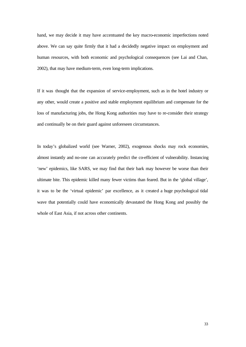hand, we may decide it may have accentuated the key macro-economic imperfections noted above. We can say quite firmly that it had a decidedly negative impact on employment and human resources, with both economic and psychological consequences (see Lai and Chan, 2002), that may have medium-term, even long-term implications.

If it was thought that the expansion of service-employment, such as in the hotel industry or any other, would create a positive and stable employment equilibrium and compensate for the loss of manufacturing jobs, the Hong Kong authorities may have to re-consider their strategy and continually be on their guard against unforeseen circumstances.

In today's globalized world (see Warner, 2002), exogenous shocks may rock economies, almost instantly and no-one can accurately predict the co-efficient of vulnerability. Instancing 'new' epidemics, like SARS, we may find that their bark may however be worse than their ultimate bite. This epidemic killed many fewer victims than feared. But in the 'global village', it was to be the 'virtual epidemic' par excellence, as it created a huge psychological tidal wave that potentially could have economically devastated the Hong Kong and possibly the whole of East Asia, if not across other continents.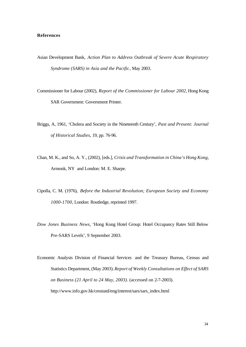#### **References**

- Asian Development Bank, *Action Plan to Address Outbreak of Severe Acute Respiratory Syndrome (SARS) in Asia and the Pacific*, May 2003.
- Commissioner for Labour (2002), *Report of the Commissioner for Labour 2002*, Hong Kong SAR Government: Government Printer.
- Briggs, A, 1961, 'Cholera and Society in the Nineteenth Century', *Past and Present: Journal of Historical Studies*, 19, pp. 76-96.
- Chan, M. K., and So, A. Y., (2002), [eds.], *Crisis and Transformation in China's Hong Kong*, Armonk, NY and London: M. E. Sharpe.
- Cipolla, C. M. (1976), *Before the Industrial Revolution; European Society and Economy 1000-1700*, London: Routledge, reprinted 1997.
- *Dow Jones Business News*, 'Hong Kong Hotel Group: Hotel Occupancy Rates Still Below Pre-SARS Levels', 9 September 2003.
- Economic Analysis Division of Financial Services and the Treasury Bureau, Census and Statistics Department, (May 2003). *Report of Weekly Consultations on Effect of SARS on Business (21 April to 24 May, 2003).* (accessed on 2-7-2003). http://www.info.gov.hk/censtatd/eng/interest/sars/sars\_index.html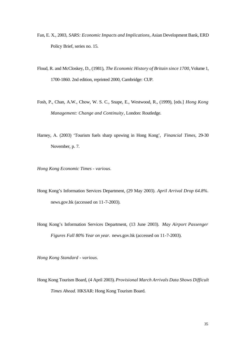- Fan, E. X., 2003, *SARS: Economic Impacts and Implications*, Asian Development Bank, ERD Policy Brief, series no. 15.
- Floud, R. and McCloskey, D., (1981), *The Economic History of Britain since 1700*, Volume 1, 1700-1860. 2nd edition, reprinted 2000, Cambridge: CUP.
- Fosh, P., Chan, A.W., Chow, W. S. C., Snape, E., Westwood, R., (1999), [eds.] *Hong Kong Management: Change and Continuity*, London: Routledge.
- Harney, A. (2003) 'Tourism fuels sharp upswing in Hong Kong', *Financial Times*, 29-30 November, p. 7.

*Hong Kong Economic Times - various*.

- Hong Kong's Information Services Department, (29 May 2003). *April Arrival Drop 64.8%.* news.gov.hk (accessed on 11-7-2003).
- Hong Kong's Information Services Department, (13 June 2003). *May Airport Passenger Figures Fall 80% Year on year.* news.gov.hk (accessed on 11-7-2003).

*Hong Kong Standard - various*.

Hong Kong Tourism Board, (4 April 2003). *Provisional March Arrivals Data Shows Difficult Times Ahead.* HKSAR: Hong Kong Tourism Board.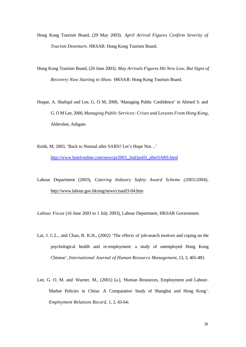- Hong Kong Tourism Board, (29 May 2003). *April Arrival Figures Confirm Severity of Tourism Downturn.* HKSAR: Hong Kong Tourism Board.
- Hong Kong Tourism Board, (26 June 2003). *May Arrivals Figures Hit New Low, But Signs of Recovery Now Starting to Show.* HKSAR: Hong Kong Tourism Board.
- Huque, A. Shafiqul and Lee, G. O M, 2000, 'Managing Public Confidence' in Ahmed S. and G. O M Lee, 2000, *Managing Public Services: Crises and Lessons From Hong Kong*, Aldershot, Ashgate.
- Keith, M, 2003, 'Back to Normal after SARS? Let's Hope Not…' http://www.hotel-online.com/news/pr2003\_2nd/jun03\_afterSARS.html
- Labour Department (2003), *Catering Industry Safety Award Scheme (2003/2004),* http://www.labour.gov.hk/eng/news/cisas03-04.htm
- *Labour Focus* (16 June 2003 to 1 July 2003), Labour Department, HKSAR Government.
- Lai, J. C.L., and Chan, R. K.H., (2002) 'The effects of job-search motives and coping on the psychological health and re-employment: a study of unemployed Hong Kong Chinese', *International Journal of Human Resource Management*, 13, 3, 465-483.
- Lee, G. O. M. and Warner, M., (2001) [a.], 'Human Resources, Employment and Labour-Market Policies in China: A Comparative Study of Shanghai and Hong Kong'. *Employment Relations Record,* 1, 2, 43-64;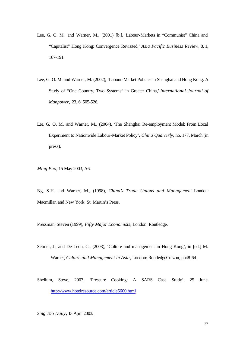- Lee, G. O. M. and Warner, M., (2001) [b.], 'Labour-Markets in "Communist" China and "Capitalist" Hong Kong: Convergence Revisited,' *Asia Pacific Business Review*, 8, 1, 167-191.
- Lee, G. O. M. and Warner, M. (2002), 'Labour-Market Policies in Shanghai and Hong Kong: A Study of "One Country, Two Systems" in Greater China,*' International Journal of Manpower,* 23, 6, 505-526.
- Lee, G. O. M. and Warner, M., (2004), 'The Shanghai Re-employment Model: From Local Experiment to Nationwide Labour-Market Policy', *China Quarterly,* no. 177, March (in press).

*Ming Pao*, 15 May 2003, A6.

Ng, S-H. and Warner, M., (1998), *China's Trade Unions and Management* London: Macmillan and New York: St. Martin's Press.

Pressman, Steven (1999), *Fifty Major Economists*, London: Routledge.

Selmer, J., and De Leon, C., (2003), 'Culture and management in Hong Kong', in [ed.] M. Warner, *Culture and Management in Asia*, London: RoutledgeCurzon, pp48-64.

Shellum, Steve, 2003, 'Pressure Cooking: A SARS Case Study', 25 June. http://www.hotelresource.com/article6600.html

*Sing Tao Daily*, 13 April 2003.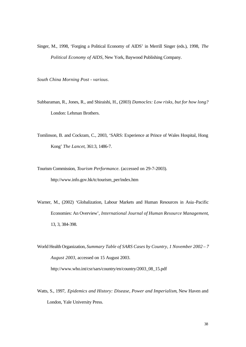Singer, M., 1998, 'Forging a Political Economy of AIDS' in Merrill Singer (eds.), 1998, *The Political Economy of AIDS*, New York, Baywood Publishing Company.

*South China Morning Post - various*.

- Subbaraman, R., Jones, R., and Shiraishi, H., (2003) *Damocles: Low risks, but for how long?* London: Lehman Brothers.
- Tomlinson, B. and Cockram, C., 2003, 'SARS: Experience at Prince of Wales Hospital, Hong Kong' *The Lancet*, 361:3, 1486-7.

Tourism Commission, *Tourism Performance.* (accessed on 29-7-2003). http://www.info.gov.hk/tc/tourism\_per/index.htm

Warner, M., (2002) 'Globalization, Labour Markets and Human Resources in Asia -Pacific Economies: An Overview', *International Journal of Human Resource Management*, 13, 3, 384-398.

World Health Organization, *Summary Table of SARS Cases by Country, 1 November 2002 – 7 August 2003*, accessed on 15 August 2003. http://www.who.int/csr/sars/country/en/country/2003\_08\_15.pdf

Watts, S., 1997, *Epidemics and History: Disease, Power and Imperialism*, New Haven and London, Yale University Press.